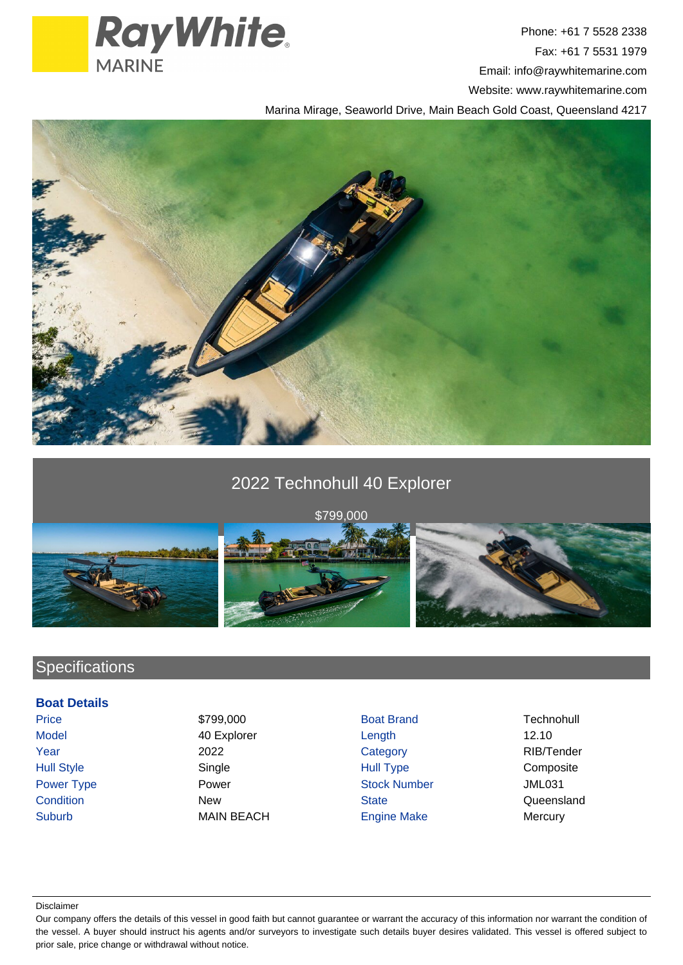

Phone: +61 7 5528 2338 Fax: +61 7 5531 1979 Email: info@raywhitemarine.com Website: www.raywhitemarine.com

Marina Mirage, Seaworld Drive, Main Beach Gold Coast, Queensland 4217



## 2022 Technohull 40 Explorer



# **Specifications**

### **Boat Details**

- 
- Suburb MAIN BEACH Engine Make Mercury
- Price \$799,000 \$799,000 Boat Brand Technohull Model 40 Explorer 12.10 Year 2022 Category RIB/Tender Hull Style **Single Server Server School Style Style** Hull Type School Composite Power Type **Power Stock Number** Power **Stock Number** Stock Number 31 Condition **New State** State Condition **Condition** Condition **Condition** Cueensland
- 

#### Disclaimer

Our company offers the details of this vessel in good faith but cannot guarantee or warrant the accuracy of this information nor warrant the condition of the vessel. A buyer should instruct his agents and/or surveyors to investigate such details buyer desires validated. This vessel is offered subject to prior sale, price change or withdrawal without notice.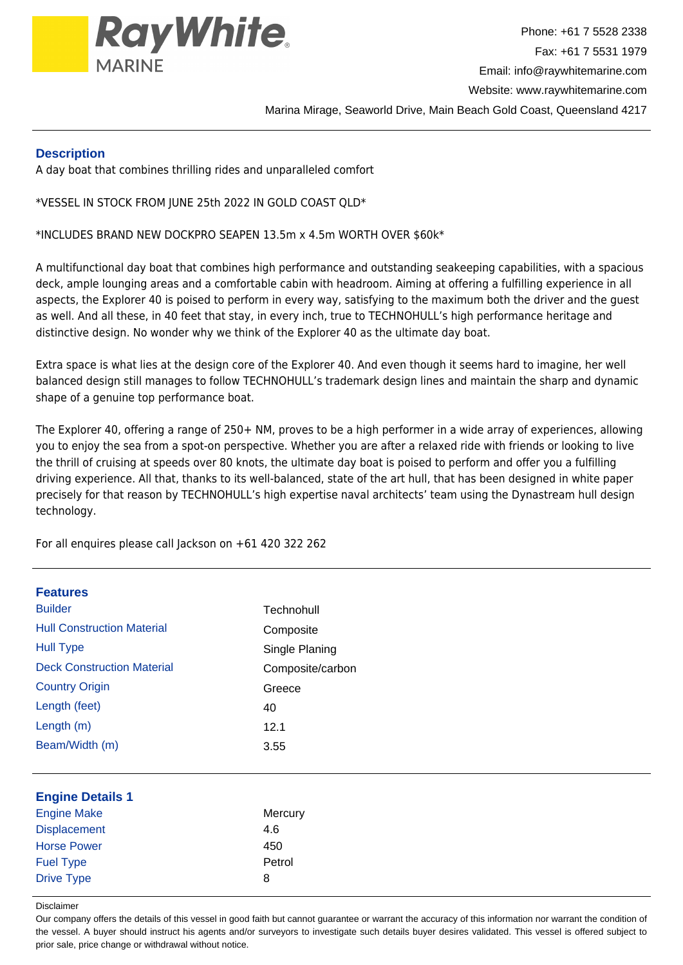

## **Description**

A day boat that combines thrilling rides and unparalleled comfort

\*VESSEL IN STOCK FROM JUNE 25th 2022 IN GOLD COAST QLD\*

\*INCLUDES BRAND NEW DOCKPRO SEAPEN 13.5m x 4.5m WORTH OVER \$60k\*

A multifunctional day boat that combines high performance and outstanding seakeeping capabilities, with a spacious deck, ample lounging areas and a comfortable cabin with headroom. Aiming at offering a fulfilling experience in all aspects, the Explorer 40 is poised to perform in every way, satisfying to the maximum both the driver and the guest as well. And all these, in 40 feet that stay, in every inch, true to TECHNOHULL's high performance heritage and distinctive design. No wonder why we think of the Explorer 40 as the ultimate day boat.

Extra space is what lies at the design core of the Explorer 40. And even though it seems hard to imagine, her well balanced design still manages to follow TECHNOHULL's trademark design lines and maintain the sharp and dynamic shape of a genuine top performance boat.

The Explorer 40, offering a range of 250+ NM, proves to be a high performer in a wide array of experiences, allowing you to enjoy the sea from a spot-on perspective. Whether you are after a relaxed ride with friends or looking to live the thrill of cruising at speeds over 80 knots, the ultimate day boat is poised to perform and offer you a fulfilling driving experience. All that, thanks to its well-balanced, state of the art hull, that has been designed in white paper precisely for that reason by TECHNOHULL's high expertise naval architects' team using the Dynastream hull design technology.

For all enquires please call Jackson on +61 420 322 262

| <b>Features</b>                   |                  |
|-----------------------------------|------------------|
| <b>Builder</b>                    | Technohull       |
| <b>Hull Construction Material</b> | Composite        |
| <b>Hull Type</b>                  | Single Planing   |
| <b>Deck Construction Material</b> | Composite/carbon |
| <b>Country Origin</b>             | Greece           |
| Length (feet)                     | 40               |
| Length (m)                        | 12.1             |
| Beam/Width (m)                    | 3.55             |
|                                   |                  |
| <b>Engine Details 1</b>           |                  |
| <b>Engine Make</b>                | Mercury          |
| <b>Displacement</b>               | 4.6              |
| <b>Horse Power</b>                | 450              |
| <b>Fuel Type</b>                  | Petrol           |
| <b>Drive Type</b>                 | 8                |
|                                   |                  |

Disclaimer

Our company offers the details of this vessel in good faith but cannot guarantee or warrant the accuracy of this information nor warrant the condition of the vessel. A buyer should instruct his agents and/or surveyors to investigate such details buyer desires validated. This vessel is offered subject to prior sale, price change or withdrawal without notice.